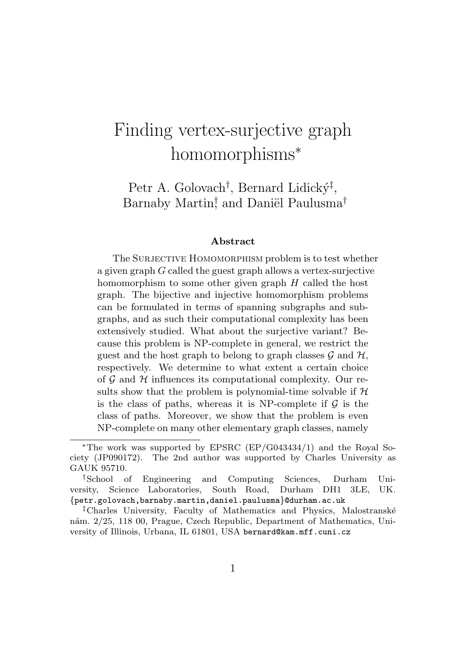# Finding vertex-surjective graph homomorphisms<sup>\*</sup>

Petr A. Golovach<sup>†</sup>, Bernard Lidický<sup>‡</sup>, Barnaby Martin<sup>†</sup>, and Daniël Paulusma<sup>†</sup>

#### Abstract

The SURJECTIVE HOMOMORPHISM problem is to test whether a given graph *G* called the guest graph allows a vertex-surjective homomorphism to some other given graph *H* called the host graph. The bijective and injective homomorphism problems can be formulated in terms of spanning subgraphs and subgraphs, and as such their computational complexity has been extensively studied. What about the surjective variant? Because this problem is NP-complete in general, we restrict the guest and the host graph to belong to graph classes  $\mathcal G$  and  $\mathcal H$ , respectively. We determine to what extent a certain choice of *G* and *H* influences its computational complexity. Our results show that the problem is polynomial-time solvable if *H* is the class of paths, whereas it is NP-complete if *G* is the class of paths. Moreover, we show that the problem is even NP-complete on many other elementary graph classes, namely

<sup>⇤</sup>The work was supported by EPSRC (EP/G043434/1) and the Royal Society (JP090172). The 2nd author was supported by Charles University as GAUK 95710.

*<sup>†</sup>*School of Engineering and Computing Sciences, Durham University, Science Laboratories, South Road, Durham DH1 3LE, UK. *{*petr.golovach,barnaby.martin,daniel.paulusma*}*@durham.ac.uk

<sup>&</sup>lt;sup>‡</sup>Charles University, Faculty of Mathematics and Physics, Malostranské nám. 2/25, 118 00, Prague, Czech Republic, Department of Mathematics, University of Illinois, Urbana, IL 61801, USA bernard@kam.mff.cuni.cz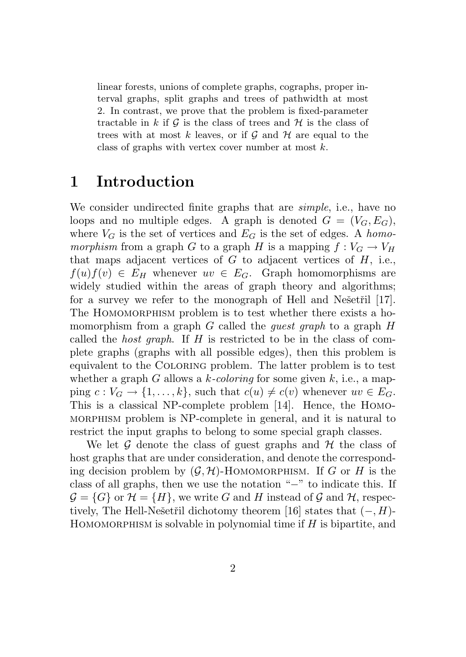linear forests, unions of complete graphs, cographs, proper interval graphs, split graphs and trees of pathwidth at most 2. In contrast, we prove that the problem is fixed-parameter tractable in  $k$  if  $\mathcal G$  is the class of trees and  $\mathcal H$  is the class of trees with at most  $k$  leaves, or if  $\mathcal G$  and  $\mathcal H$  are equal to the class of graphs with vertex cover number at most *k*.

### 1 Introduction

We consider undirected finite graphs that are *simple*, i.e., have no loops and no multiple edges. A graph is denoted  $G = (V_G, E_G)$ , where  $V_G$  is the set of vertices and  $E_G$  is the set of edges. A *homomorphism* from a graph *G* to a graph *H* is a mapping  $f: V_G \to V_H$ that maps adjacent vertices of  $G$  to adjacent vertices of  $H$ , i.e.,  $f(u)f(v) \in E_H$  whenever  $uv \in E_G$ . Graph homomorphisms are widely studied within the areas of graph theory and algorithms; for a survey we refer to the monograph of Hell and Ne $\check{\rm set}$ ii [17]. The HOMOMORPHISM problem is to test whether there exists a homomorphism from a graph *G* called the *guest graph* to a graph *H* called the *host graph*. If *H* is restricted to be in the class of complete graphs (graphs with all possible edges), then this problem is equivalent to the Coloring problem. The latter problem is to test whether a graph *G* allows a *k-coloring* for some given *k*, i.e., a mapping  $c: V_G \to \{1, \ldots, k\}$ , such that  $c(u) \neq c(v)$  whenever  $uv \in E_G$ . This is a classical NP-complete problem [14]. Hence, the Homomorphism problem is NP-complete in general, and it is natural to restrict the input graphs to belong to some special graph classes.

We let *G* denote the class of guest graphs and *H* the class of host graphs that are under consideration, and denote the corresponding decision problem by  $(G, \mathcal{H})$ -HOMOMORPHISM. If *G* or *H* is the class of all graphs, then we use the notation " $-$ " to indicate this. If  $\mathcal{G} = \{G\}$  or  $\mathcal{H} = \{H\}$ , we write *G* and *H* instead of *G* and *H*, respectively, The Hell-Nešetřil dichotomy theorem [16] states that  $(-, H)$ -HOMOMORPHISM is solvable in polynomial time if *H* is bipartite, and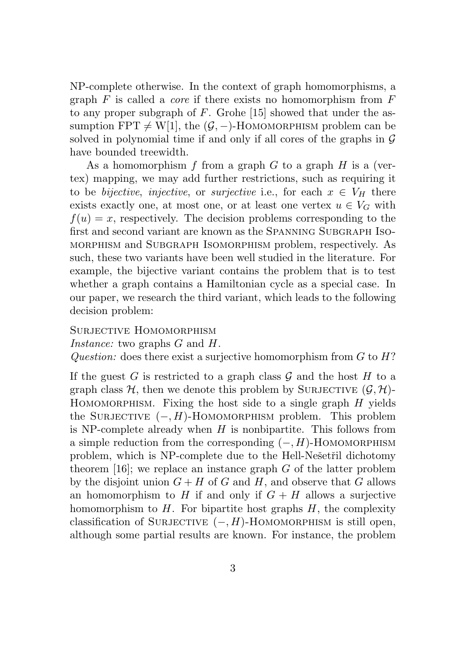NP-complete otherwise. In the context of graph homomorphisms, a graph *F* is called a *core* if there exists no homomorphism from *F* to any proper subgraph of *F*. Grohe [15] showed that under the assumption FPT  $\neq$  W[1], the  $(G, -)$ -HOMOMORPHISM problem can be solved in polynomial time if and only if all cores of the graphs in *G* have bounded treewidth.

As a homomorphism *f* from a graph *G* to a graph *H* is a (vertex) mapping, we may add further restrictions, such as requiring it to be *bijective*, *injective*, or *surjective* i.e., for each  $x \in V_H$  there exists exactly one, at most one, or at least one vertex  $u \in V_G$  with  $f(u) = x$ , respectively. The decision problems corresponding to the first and second variant are known as the SPANNING SUBGRAPH ISOmorphism and Subgraph Isomorphism problem, respectively. As such, these two variants have been well studied in the literature. For example, the bijective variant contains the problem that is to test whether a graph contains a Hamiltonian cycle as a special case. In our paper, we research the third variant, which leads to the following decision problem:

SURJECTIVE HOMOMORPHISM *Instance:* two graphs *G* and *H*. *Question:* does there exist a surjective homomorphism from *G* to *H*?

If the guest *G* is restricted to a graph class  $G$  and the host  $H$  to a graph class  $H$ , then we denote this problem by SURJECTIVE  $(G, H)$ -Homomorphism. Fixing the host side to a single graph *H* yields the SURJECTIVE  $(-, H)$ -HOMOMORPHISM problem. This problem is NP-complete already when *H* is nonbipartite. This follows from a simple reduction from the corresponding  $(-, H)$ -HOMOMORPHISM problem, which is NP-complete due to the Hell-Nešetřil dichotomy theorem [16]; we replace an instance graph *G* of the latter problem by the disjoint union  $G + H$  of  $G$  and  $H$ , and observe that  $G$  allows an homomorphism to  $H$  if and only if  $G + H$  allows a surjective homomorphism to  $H$ . For bipartite host graphs  $H$ , the complexity classification of SURJECTIVE  $(-, H)$ -HOMOMORPHISM is still open, although some partial results are known. For instance, the problem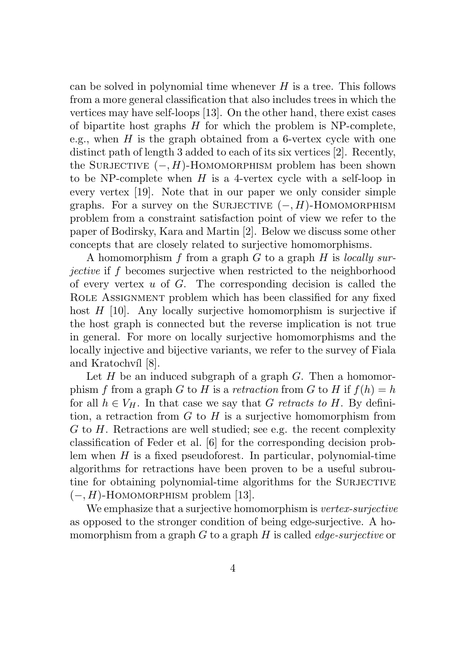can be solved in polynomial time whenever *H* is a tree. This follows from a more general classification that also includes trees in which the vertices may have self-loops [13]. On the other hand, there exist cases of bipartite host graphs *H* for which the problem is NP-complete, e.g., when *H* is the graph obtained from a 6-vertex cycle with one distinct path of length 3 added to each of its six vertices [2]. Recently, the SURJECTIVE  $(-, H)$ -HOMOMORPHISM problem has been shown to be NP-complete when *H* is a 4-vertex cycle with a self-loop in every vertex [19]. Note that in our paper we only consider simple graphs. For a survey on the SURJECTIVE  $(-, H)$ -HOMOMORPHISM problem from a constraint satisfaction point of view we refer to the paper of Bodirsky, Kara and Martin [2]. Below we discuss some other concepts that are closely related to surjective homomorphisms.

A homomorphism *f* from a graph *G* to a graph *H* is *locally surjective* if f becomes surjective when restricted to the neighborhood of every vertex *u* of *G*. The corresponding decision is called the Role Assignment problem which has been classified for any fixed host *H* [10]. Any locally surjective homomorphism is surjective if the host graph is connected but the reverse implication is not true in general. For more on locally surjective homomorphisms and the locally injective and bijective variants, we refer to the survey of Fiala and Kratochvíl [8].

Let *H* be an induced subgraph of a graph *G*. Then a homomorphism *f* from a graph *G* to *H* is a *retraction* from *G* to *H* if  $f(h) = h$ for all  $h \in V_H$ . In that case we say that *G* retracts to *H*. By definition, a retraction from *G* to *H* is a surjective homomorphism from *G* to *H*. Retractions are well studied; see e.g. the recent complexity classification of Feder et al. [6] for the corresponding decision problem when *H* is a fixed pseudoforest. In particular, polynomial-time algorithms for retractions have been proven to be a useful subroutine for obtaining polynomial-time algorithms for the SURJECTIVE  $(-, H)$ -HOMOMORPHISM problem [13].

We emphasize that a surjective homomorphism is *vertex-surjective* as opposed to the stronger condition of being edge-surjective. A homomorphism from a graph *G* to a graph *H* is called *edge-surjective* or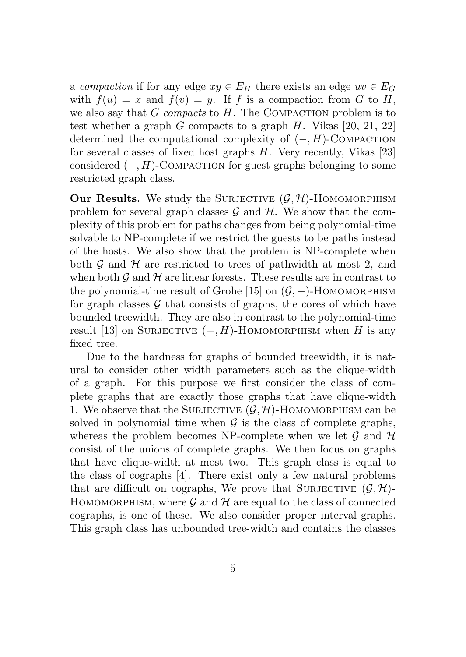a *compaction* if for any edge  $xy \in E_H$  there exists an edge  $uv \in E_G$ with  $f(u) = x$  and  $f(v) = y$ . If *f* is a compaction from *G* to *H*, we also say that *G compacts* to *H*. The Compaction problem is to test whether a graph *G* compacts to a graph *H*. Vikas [20, 21, 22] determined the computational complexity of  $(-, H)$ -COMPACTION for several classes of fixed host graphs *H*. Very recently, Vikas [23] considered  $(-, H)$ -COMPACTION for guest graphs belonging to some restricted graph class.

Our Results. We study the SURJECTIVE  $(G, \mathcal{H})$ -HOMOMORPHISM problem for several graph classes  $\mathcal G$  and  $\mathcal H$ . We show that the complexity of this problem for paths changes from being polynomial-time solvable to NP-complete if we restrict the guests to be paths instead of the hosts. We also show that the problem is NP-complete when both  $G$  and  $H$  are restricted to trees of pathwidth at most 2, and when both  $\mathcal G$  and  $\mathcal H$  are linear forests. These results are in contrast to the polynomial-time result of Grohe [15] on  $(G, -)$ -HOMOMORPHISM for graph classes  $G$  that consists of graphs, the cores of which have bounded treewidth. They are also in contrast to the polynomial-time result [13] on SURJECTIVE  $(-, H)$ -HOMOMORPHISM when *H* is any fixed tree.

Due to the hardness for graphs of bounded treewidth, it is natural to consider other width parameters such as the clique-width of a graph. For this purpose we first consider the class of complete graphs that are exactly those graphs that have clique-width 1. We observe that the SURJECTIVE  $(G, \mathcal{H})$ -HOMOMORPHISM can be solved in polynomial time when  $\mathcal G$  is the class of complete graphs, whereas the problem becomes NP-complete when we let *G* and *H* consist of the unions of complete graphs. We then focus on graphs that have clique-width at most two. This graph class is equal to the class of cographs [4]. There exist only a few natural problems that are difficult on cographs, We prove that SURJECTIVE  $(G, \mathcal{H})$ -HOMOMORPHISM, where  $\mathcal G$  and  $\mathcal H$  are equal to the class of connected cographs, is one of these. We also consider proper interval graphs. This graph class has unbounded tree-width and contains the classes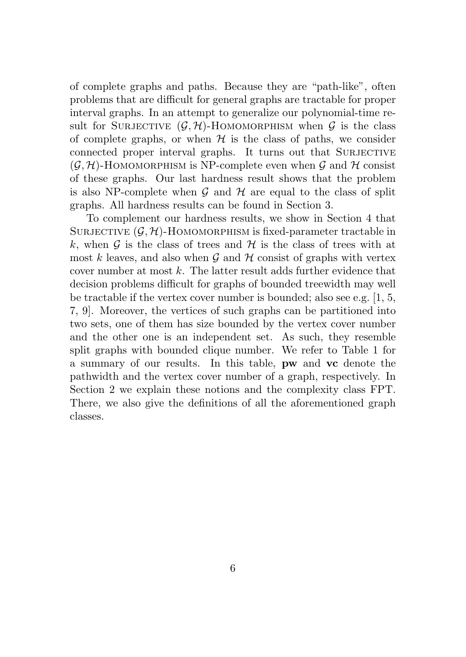of complete graphs and paths. Because they are "path-like", often problems that are difficult for general graphs are tractable for proper interval graphs. In an attempt to generalize our polynomial-time result for SURJECTIVE  $(G, \mathcal{H})$ -HOMOMORPHISM when  $G$  is the class of complete graphs, or when  $H$  is the class of paths, we consider connected proper interval graphs. It turns out that SURJECTIVE  $(G, \mathcal{H})$ -HOMOMORPHISM is NP-complete even when  $G$  and  $\mathcal{H}$  consist of these graphs. Our last hardness result shows that the problem is also NP-complete when  $G$  and  $H$  are equal to the class of split graphs. All hardness results can be found in Section 3.

To complement our hardness results, we show in Section 4 that SURJECTIVE  $(G, \mathcal{H})$ -HOMOMORPHISM is fixed-parameter tractable in k, when  $\mathcal G$  is the class of trees and  $\mathcal H$  is the class of trees with at most  $k$  leaves, and also when  $\mathcal G$  and  $\mathcal H$  consist of graphs with vertex cover number at most *k*. The latter result adds further evidence that decision problems difficult for graphs of bounded treewidth may well be tractable if the vertex cover number is bounded; also see e.g. [1, 5, 7, 9]. Moreover, the vertices of such graphs can be partitioned into two sets, one of them has size bounded by the vertex cover number and the other one is an independent set. As such, they resemble split graphs with bounded clique number. We refer to Table 1 for a summary of our results. In this table, pw and vc denote the pathwidth and the vertex cover number of a graph, respectively. In Section 2 we explain these notions and the complexity class FPT. There, we also give the definitions of all the aforementioned graph classes.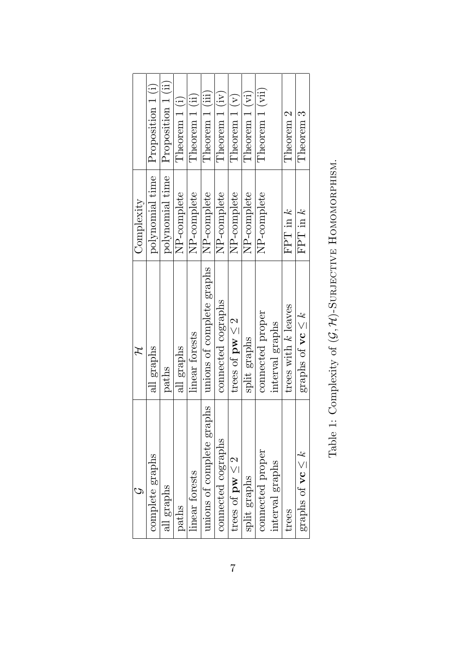|                                        | Ή                              | Complexity      |                    |
|----------------------------------------|--------------------------------|-----------------|--------------------|
| complete graphs                        | all graphs                     | polynomial time | Proposition 1(i)   |
| all graphs                             | paths                          | polynomial time | Proposition 1 (ii) |
| paths                                  | all graphs                     | NP-complete     | Theorem 1 (i)      |
| linear forests                         | linear forests                 | NP-complete     | Theorem 1 (ii)     |
| unions of complete graphs              | unions of complete graphs      | NP-complete     | Theorem 1 (iii)    |
| connected cographs                     | connected cographs             | NP-complete     | Theorem 1 (iv)     |
| trees of $pw \leq 2$                   | trees of $pw \leq 2$           | NP-complete     | Theorem $1(v)$     |
| split graphs                           | split graphs                   | NP-complete     | Theorem 1 (vi)     |
| connected proper                       | connected proper               | NP-complete     | Theorem 1 (vii)    |
| interval graphs                        | interval graphs                |                 |                    |
| trees                                  | trees with k leaves            | $FPT$ in $k$    | Theorem 2          |
| graphs of $\mathbf{v} \in \mathcal{K}$ | graphs of $\mathbf{vc} \leq k$ | FPT in $k$      | Theorem 3          |
|                                        |                                |                 |                    |

| ı<br>ï<br>Í<br>l<br>ı<br>ı<br>j<br>I<br>l<br>ı<br>l<br>)<br>ן<br>ו<br>I |
|-------------------------------------------------------------------------|
| ı<br>ı<br>j<br>Ï<br>Ì<br>ı                                              |
|                                                                         |
| ١                                                                       |
|                                                                         |
| l<br>١<br>j                                                             |
| ı<br>j<br>ı<br>I<br>ı<br>١<br>l<br>ı<br>i<br>J                          |
| ı                                                                       |
| ï                                                                       |
| ı<br>١<br>١                                                             |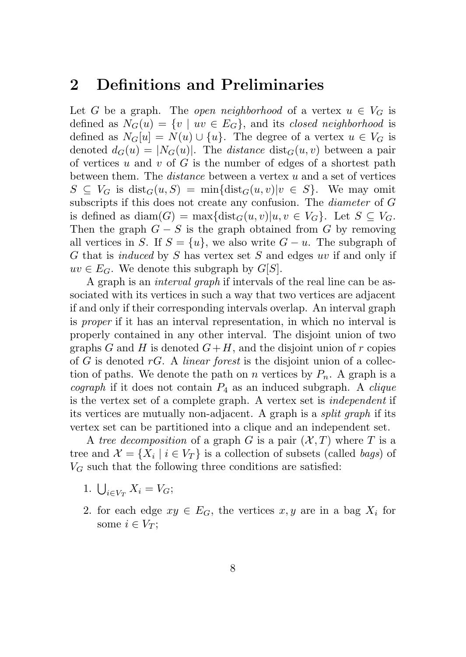#### 2 Definitions and Preliminaries

Let *G* be a graph. The *open neighborhood* of a vertex  $u \in V_G$  is defined as  $N_G(u) = \{v \mid uv \in E_G\}$ , and its *closed neighborhood* is defined as  $N_G[u] = N(u) \cup \{u\}$ . The degree of a vertex  $u \in V_G$  is denoted  $d_G(u) = |N_G(u)|$ . The *distance* dist<sub> $G(u, v)$  between a pair</sub> of vertices *u* and *v* of *G* is the number of edges of a shortest path between them. The *distance* between a vertex *u* and a set of vertices  $S \subseteq V_G$  is dist<sub>*G*</sub>(*u, S*) = min<sub>i</sub>{dist<sub>*G*</sub>(*u, v*)*|v*  $\in S$ }. We may omit subscripts if this does not create any confusion. The *diameter* of *G* is defined as  $\text{diam}(G) = \max\{\text{dist}_G(u, v)|u, v \in V_G\}$ . Let  $S \subseteq V_G$ . Then the graph  $G-S$  is the graph obtained from  $G$  by removing all vertices in *S*. If  $S = \{u\}$ , we also write  $G - u$ . The subgraph of *G* that is *induced* by *S* has vertex set *S* and edges *uv* if and only if  $uv \in E_G$ . We denote this subgraph by *G*[*S*].

A graph is an *interval graph* if intervals of the real line can be associated with its vertices in such a way that two vertices are adjacent if and only if their corresponding intervals overlap. An interval graph is *proper* if it has an interval representation, in which no interval is properly contained in any other interval. The disjoint union of two graphs *G* and *H* is denoted  $G+H$ , and the disjoint union of *r* copies of *G* is denoted *rG*. A *linear forest* is the disjoint union of a collection of paths. We denote the path on *n* vertices by  $P_n$ . A graph is a *cograph* if it does not contain *P*<sup>4</sup> as an induced subgraph. A *clique* is the vertex set of a complete graph. A vertex set is *independent* if its vertices are mutually non-adjacent. A graph is a *split graph* if its vertex set can be partitioned into a clique and an independent set.

A *tree decomposition* of a graph *G* is a pair  $(X, T)$  where *T* is a tree and  $\mathcal{X} = \{X_i \mid i \in V_T\}$  is a collection of subsets (called *bags*) of  $V_G$  such that the following three conditions are satisfied:

- 1.  $\bigcup_{i \in V_T} X_i = V_G;$
- 2. for each edge  $xy \in E_G$ , the vertices  $x, y$  are in a bag  $X_i$  for some  $i \in V_T$ ;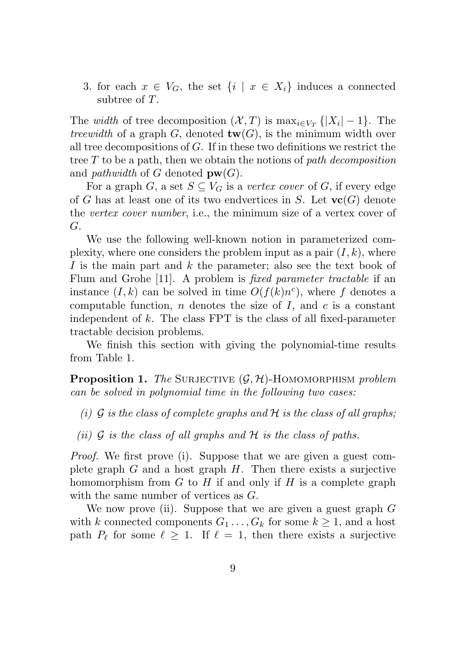3. for each  $x \in V_G$ , the set  $\{i \mid x \in X_i\}$  induces a connected subtree of *T*.

The *width* of tree decomposition  $(X, T)$  is  $\max_{i \in V_T} \{ |X_i| - 1 \}$ . The *treewidth* of a graph *G*, denoted  $\text{tw}(G)$ , is the minimum width over all tree decompositions of *G*. If in these two definitions we restrict the tree *T* to be a path, then we obtain the notions of *path decomposition* and *pathwidth* of *G* denoted  $\mathbf{pw}(G)$ .

For a graph *G*, a set  $S \subseteq V_G$  is a *vertex cover* of *G*, if every edge of *G* has at least one of its two endvertices in *S*. Let  $\mathbf{vc}(G)$  denote the *vertex cover number*, i.e., the minimum size of a vertex cover of *G*.

We use the following well-known notion in parameterized complexity, where one considers the problem input as a pair  $(I, k)$ , where *I* is the main part and *k* the parameter; also see the text book of Flum and Grohe [11]. A problem is *fixed parameter tractable* if an instance  $(I, k)$  can be solved in time  $O(f(k)n^c)$ , where f denotes a computable function, *n* denotes the size of *I*, and *c* is a constant independent of *k*. The class FPT is the class of all fixed-parameter tractable decision problems.

We finish this section with giving the polynomial-time results from Table 1.

Proposition 1. *The* Surjective (*G, H*)-Homomorphism *problem can be solved in polynomial time in the following two cases:*

- *(i) G is the class of complete graphs and H is the class of all graphs;*
- *(ii) G is the class of all graphs and H is the class of paths.*

*Proof.* We first prove (i). Suppose that we are given a guest complete graph *G* and a host graph *H*. Then there exists a surjective homomorphism from *G* to *H* if and only if *H* is a complete graph with the same number of vertices as *G*.

We now prove (ii). Suppose that we are given a guest graph *G* with *k* connected components  $G_1 \ldots, G_k$  for some  $k \geq 1$ , and a host path  $P_\ell$  for some  $\ell \geq 1$ . If  $\ell = 1$ , then there exists a surjective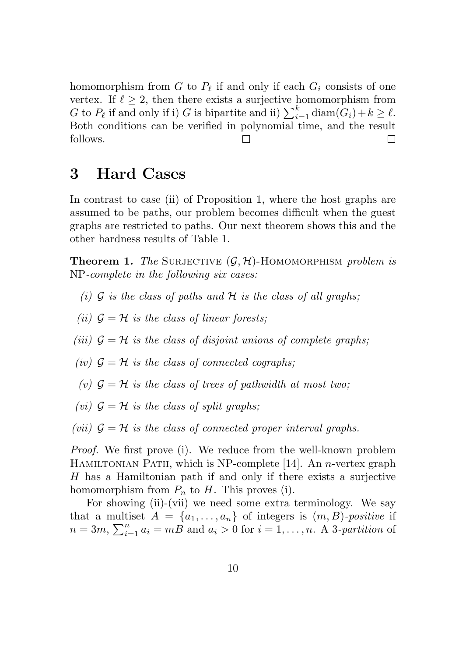homomorphism from  $G$  to  $P_\ell$  if and only if each  $G_i$  consists of one vertex. If  $\ell \geq 2$ , then there exists a surjective homomorphism from *G* to  $P_\ell$  if and only if i) *G* is bipartite and ii)  $\sum_{i=1}^k \text{diam}(G_i) + k \geq \ell$ . Both conditions can be verified in polynomial time, and the result follows. П  $\Box$ 

#### 3 Hard Cases

In contrast to case (ii) of Proposition 1, where the host graphs are assumed to be paths, our problem becomes difficult when the guest graphs are restricted to paths. Our next theorem shows this and the other hardness results of Table 1.

**Theorem 1.** The SURJECTIVE  $(G, \mathcal{H})$ -HOMOMORPHISM *problem is* NP*-complete in the following six cases:*

- *(i) G is the class of paths and H is the class of all graphs;*
- *(ii)*  $G = H$  *is the class of linear forests;*
- *(iii)*  $G = H$  *is the class of disjoint unions of complete graphs:*
- *(iv)*  $G = H$  *is the class of connected cographs;*
- (*v*)  $G = H$  *is the class of trees of pathwidth at most two;*
- *(vi)*  $G = H$  *is the class of split graphs;*

*(vii)*  $G = H$  *is the class of connected proper interval graphs.* 

*Proof.* We first prove (i). We reduce from the well-known problem Hamiltonian Path, which is NP-complete [14]. An *n*-vertex graph *H* has a Hamiltonian path if and only if there exists a surjective homomorphism from  $P_n$  to  $H$ . This proves (i).

For showing (ii)-(vii) we need some extra terminology. We say that a multiset  $A = \{a_1, \ldots, a_n\}$  of integers is  $(m, B)$ -positive if  $n = 3m$ ,  $\sum_{i=1}^{n} a_i = mB$  and  $a_i > 0$  for  $i = 1, \ldots, n$ . A 3*-partition* of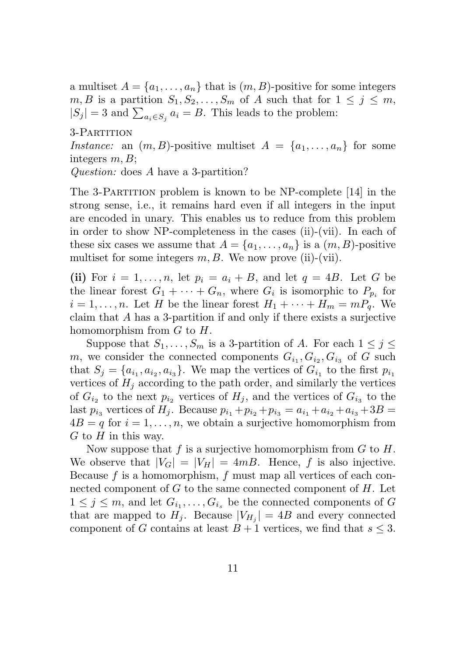a multiset  $A = \{a_1, \ldots, a_n\}$  that is  $(m, B)$ -positive for some integers  $m, B$  is a partition  $S_1, S_2, \ldots, S_m$  of *A* such that for  $1 \leq j \leq m$ ,  $|S_j| = 3$  and  $\sum_{a_i \in S_j} a_i = B$ . This leads to the problem:

3-Partition

*Instance:* an  $(m, B)$ -positive multiset  $A = \{a_1, \ldots, a_n\}$  for some integers *m, B*;

*Question:* does *A* have a 3-partition?

The 3-Partition problem is known to be NP-complete [14] in the strong sense, i.e., it remains hard even if all integers in the input are encoded in unary. This enables us to reduce from this problem in order to show NP-completeness in the cases (ii)-(vii). In each of these six cases we assume that  $A = \{a_1, \ldots, a_n\}$  is a  $(m, B)$ -positive multiset for some integers  $m, B$ . We now prove (ii)-(vii).

(ii) For  $i = 1, \ldots, n$ , let  $p_i = a_i + B$ , and let  $q = 4B$ . Let G be the linear forest  $G_1 + \cdots + G_n$ , where  $G_i$  is isomorphic to  $P_{p_i}$  for  $i = 1, \ldots, n$ . Let *H* be the linear forest  $H_1 + \cdots + H_m = mP_q$ . We claim that *A* has a 3-partition if and only if there exists a surjective homomorphism from *G* to *H*.

Suppose that  $S_1, \ldots, S_m$  is a 3-partition of *A*. For each  $1 \leq j \leq j$ *m*, we consider the connected components  $G_{i_1}, G_{i_2}, G_{i_3}$  of *G* such that  $S_j = \{a_{i_1}, a_{i_2}, a_{i_3}\}\$ . We map the vertices of  $G_{i_1}$  to the first  $p_{i_1}$ vertices of  $H_j$  according to the path order, and similarly the vertices of  $G_{i_2}$  to the next  $p_{i_2}$  vertices of  $H_i$ , and the vertices of  $G_{i_3}$  to the last  $p_{i_3}$  vertices of  $H_j$ . Because  $p_{i_1} + p_{i_2} + p_{i_3} = a_{i_1} + a_{i_2} + a_{i_3} + 3B =$  $4B = q$  for  $i = 1, \ldots, n$ , we obtain a surjective homomorphism from *G* to *H* in this way.

Now suppose that *f* is a surjective homomorphism from *G* to *H*. We observe that  $|V_G| = |V_H| = 4mB$ . Hence, f is also injective. Because *f* is a homomorphism, *f* must map all vertices of each connected component of *G* to the same connected component of *H*. Let  $1 \leq j \leq m$ , and let  $G_{i_1}, \ldots, G_{i_s}$  be the connected components of G that are mapped to  $H_i$ . Because  $|V_{H_i}| = 4B$  and every connected component of *G* contains at least  $B + 1$  vertices, we find that  $s \leq 3$ .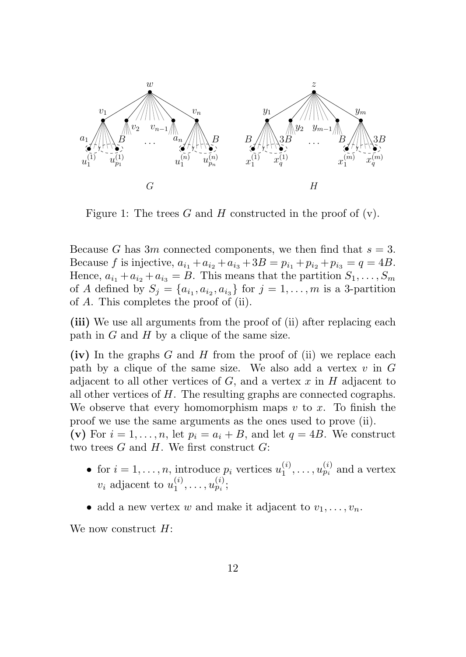

Figure 1: The trees *G* and *H* constructed in the proof of (v).

Because *G* has 3*m* connected components, we then find that  $s = 3$ . Because *f* is injective,  $a_{i_1} + a_{i_2} + a_{i_3} + 3B = p_{i_1} + p_{i_2} + p_{i_3} = q = 4B$ . Hence,  $a_{i_1} + a_{i_2} + a_{i_3} = B$ . This means that the partition  $S_1, \ldots, S_m$ of *A* defined by  $S_j = \{a_{i_1}, a_{i_2}, a_{i_3}\}$  for  $j = 1, \ldots, m$  is a 3-partition of *A*. This completes the proof of (ii).

(iii) We use all arguments from the proof of (ii) after replacing each path in *G* and *H* by a clique of the same size.

(iv) In the graphs *G* and *H* from the proof of (ii) we replace each path by a clique of the same size. We also add a vertex *v* in *G* adjacent to all other vertices of *G*, and a vertex *x* in *H* adjacent to all other vertices of *H*. The resulting graphs are connected cographs. We observe that every homomorphism maps *v* to *x*. To finish the proof we use the same arguments as the ones used to prove (ii).

(v) For  $i = 1, \ldots, n$ , let  $p_i = a_i + B$ , and let  $q = 4B$ . We construct two trees *G* and *H*. We first construct *G*:

- for  $i = 1, \ldots, n$ , introduce  $p_i$  vertices  $u_1^{(i)}, \ldots, u_{p_i}^{(i)}$  and a vertex *v*<sub>*i*</sub> adjacent to  $u_1^{(i)}, \ldots, u_{p_i}^{(i)}$ ;
- add a new vertex *w* and make it adjacent to  $v_1, \ldots, v_n$ .

We now construct *H*: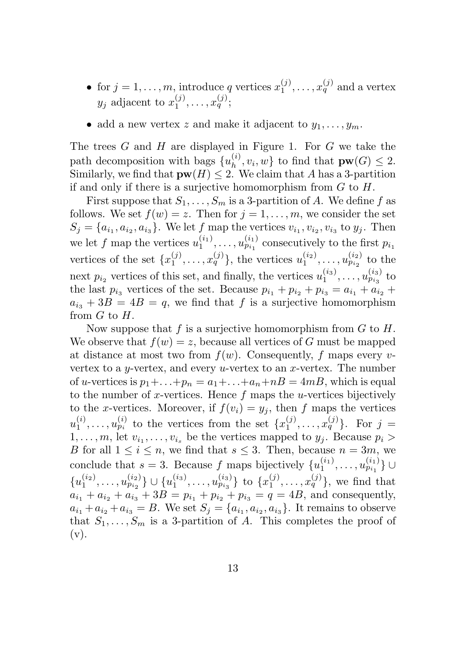- for  $j = 1, \ldots, m$ , introduce *q* vertices  $x_1^{(j)}, \ldots, x_q^{(j)}$  and a vertex *y<sub>j</sub>* adjacent to  $x_1^{(j)}, \ldots, x_q^{(j)}$ ;
- add a new vertex *z* and make it adjacent to  $y_1, \ldots, y_m$ .

The trees *G* and *H* are displayed in Figure 1. For *G* we take the path decomposition with bags  $\{u_h^{(i)}, v_i, w\}$  to find that  $\mathbf{pw}(G) \leq 2$ . Similarly, we find that  $\mathbf{pw}(H) \leq 2$ . We claim that *A* has a 3-partition if and only if there is a surjective homomorphism from *G* to *H*.

First suppose that  $S_1, \ldots, S_m$  is a 3-partition of *A*. We define *f* as follows. We set  $f(w) = z$ . Then for  $j = 1, \ldots, m$ , we consider the set  $S_j = \{a_{i_1}, a_{i_2}, a_{i_3}\}\.$  We let *f* map the vertices  $v_{i_1}, v_{i_2}, v_{i_3}$  to  $y_j$ . Then we let *f* map the vertices  $u_1^{(i_1)}, \ldots, u_{p_{i_1}}^{(i_1)}$  consecutively to the first  $p_{i_1}$ vertices of the set  $\{x_1^{(j)}, \ldots, x_q^{(j)}\}$ , the vertices  $u_1^{(i_2)}, \ldots, u_{p_{i_2}}^{(i_2)}$  to the next  $p_{i_2}$  vertices of this set, and finally, the vertices  $u_1^{(i_3)}, \ldots, u_{p_{i_3}}^{(i_3)}$  to the last  $p_{i_3}$  vertices of the set. Because  $p_{i_1} + p_{i_2} + p_{i_3} = a_{i_1} + a_{i_2} +$  $a_{i_3} + 3B = 4B = q$ , we find that *f* is a surjective homomorphism from *G* to *H*.

Now suppose that *f* is a surjective homomorphism from *G* to *H*. We observe that  $f(w) = z$ , because all vertices of *G* must be mapped at distance at most two from  $f(w)$ . Consequently, f maps every *v*vertex to a *y*-vertex, and every *u*-vertex to an *x*-vertex. The number of *u*-vertices is  $p_1 + \ldots + p_n = a_1 + \ldots + a_n + nB = 4mB$ , which is equal to the number of *x*-vertices. Hence *f* maps the *u*-vertices bijectively to the *x*-vertices. Moreover, if  $f(v_i) = y_j$ , then *f* maps the vertices  $u_1^{(i)}, \ldots, u_{p_i}^{(i)}$  to the vertices from the set  $\{x_1^{(j)}, \ldots, x_q^{(j)}\}$ . For  $j =$ 1,...,*m*, let  $v_{i_1}, \ldots, v_{i_s}$  be the vertices mapped to  $y_j$ . Because  $p_i$ *B* for all  $1 \leq i \leq n$ , we find that  $s \leq 3$ . Then, because  $n = 3m$ , we conclude that  $s = 3$ . Because  $f$  maps bijectively  $\{u_1^{(i_1)}, \ldots, u_{p_{i_1}}^{(i_1)}\}$  $\{u_1^{(i_2)},\ldots,u_{p_{i_2}}^{(i_2)}\}\cup \{u_1^{(i_3)},\ldots,u_{p_{i_3}}^{(i_3)}\}$  to  $\{x_1^{(j)},\ldots,x_q^{(j)}\}$ , we find that  $a_{i_1} + a_{i_2} + a_{i_3} + 3B = p_{i_1} + p_{i_2} + p_{i_3} = q = 4B$ , and consequently,  $a_{i1} + a_{i2} + a_{i3} = B$ . We set  $S_j = \{a_{i1}, a_{i2}, a_{i3}\}\$ . It remains to observe that  $S_1, \ldots, S_m$  is a 3-partition of *A*. This completes the proof of  $(v).$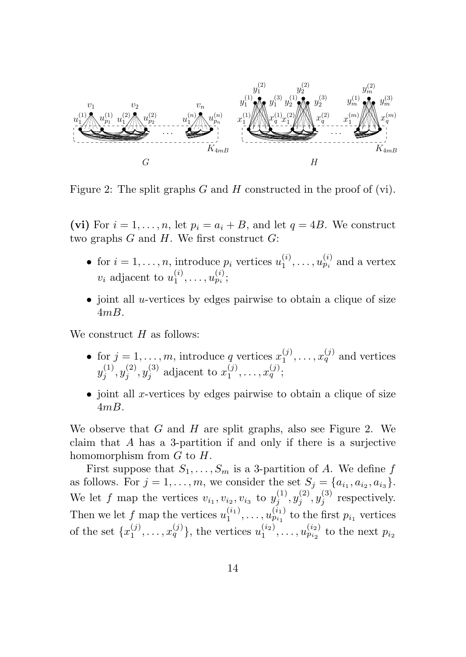

Figure 2: The split graphs *G* and *H* constructed in the proof of (vi).

(vi) For  $i = 1, \ldots, n$ , let  $p_i = a_i + B$ , and let  $q = 4B$ . We construct two graphs *G* and *H*. We first construct *G*:

- for  $i = 1, \ldots, n$ , introduce  $p_i$  vertices  $u_1^{(i)}, \ldots, u_{p_i}^{(i)}$  and a vertex *v*<sub>*i*</sub> adjacent to  $u_1^{(i)}, \ldots, u_{p_i}^{(i)}$ ;
- joint all *u*-vertices by edges pairwise to obtain a clique of size 4*mB*.

We construct *H* as follows:

- for  $j = 1, \ldots, m$ , introduce *q* vertices  $x_1^{(j)}, \ldots, x_q^{(j)}$  and vertices  $y_j^{(1)}, y_j^{(2)}, y_j^{(3)}$  adjacent to  $x_1^{(j)}, \ldots, x_q^{(j)}$ ;
- joint all *x*-vertices by edges pairwise to obtain a clique of size 4*mB*.

We observe that *G* and *H* are split graphs, also see Figure 2. We claim that *A* has a 3-partition if and only if there is a surjective homomorphism from *G* to *H*.

First suppose that  $S_1, \ldots, S_m$  is a 3-partition of *A*. We define *f* as follows. For  $j = 1, \ldots, m$ , we consider the set  $S_j = \{a_{i_1}, a_{i_2}, a_{i_3}\}.$ We let *f* map the vertices  $v_{i_1}, v_{i_2}, v_{i_3}$  to  $y_j^{(1)}, y_j^{(2)}, y_j^{(3)}$  respectively. Then we let *f* map the vertices  $u_1^{(i_1)}, \ldots, u_{p_{i_1}}^{(i_1)}$  to the first  $p_{i_1}$  vertices of the set  $\{x_1^{(j)},...,x_q^{(j)}\}$ , the vertices  $u_1^{(i_2)},...,u_{p_{i_2}}^{(i_2)}$  to the next  $p_{i_2}$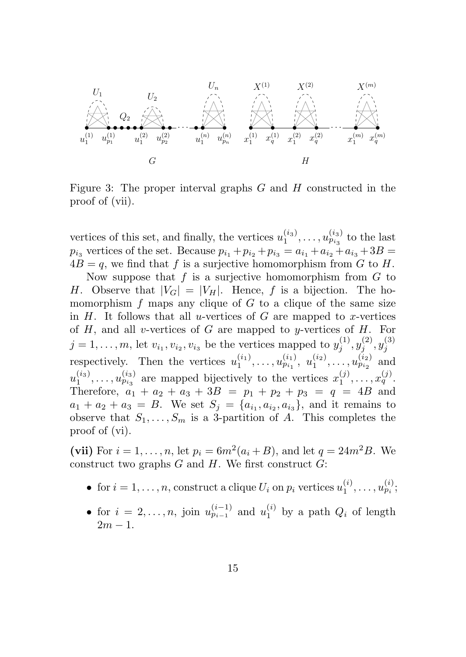

Figure 3: The proper interval graphs *G* and *H* constructed in the proof of (vii).

vertices of this set, and finally, the vertices  $u_1^{(i_3)}, \ldots, u_{p_{i_3}}^{(i_3)}$  to the last  $p_{i_3}$  vertices of the set. Because  $p_{i_1} + p_{i_2} + p_{i_3} = a_{i_1} + a_{i_2} + a_{i_3} + 3B =$  $4B = q$ , we find that f is a surjective homomorphism from G to H.

Now suppose that *f* is a surjective homomorphism from *G* to *H*. Observe that  $|V_G| = |V_H|$ . Hence, *f* is a bijection. The homomorphism  $f$  maps any clique of  $G$  to a clique of the same size in *H*. It follows that all *u*-vertices of *G* are mapped to *x*-vertices of *H*, and all *v*-vertices of *G* are mapped to *y*-vertices of *H*. For  $j = 1, ..., m$ , let  $v_{i_1}, v_{i_2}, v_{i_3}$  be the vertices mapped to  $y_j^{(1)}, y_j^{(2)}, y_j^{(3)}$ <br>respectively. Then the vertices  $u_1^{(i_1)}, ..., u_{p_{i_1}}^{(i_1)}, u_1^{(i_2)}, ..., u_{p_{i_2}}^{(i_2)}$  and  $u_1^{(i_3)}, \ldots, u_{p_{i_3}}^{(i_3)}$  are mapped bijectively to the vertices  $x_1^{(j)}, \ldots, x_q^{(j)}$ . Therefore,  $a_1 + a_2 + a_3 + 3B = p_1 + p_2 + p_3 = q = 4B$  and  $a_1 + a_2 + a_3 = B$ . We set  $S_i = \{a_{i_1}, a_{i_2}, a_{i_3}\}$ , and it remains to observe that  $S_1, \ldots, S_m$  is a 3-partition of *A*. This completes the proof of (vi).

(vii) For  $i = 1, ..., n$ , let  $p_i = 6m^2(a_i + B)$ , and let  $q = 24m^2B$ . We construct two graphs *G* and *H*. We first construct *G*:

- for  $i = 1, \ldots, n$ , construct a clique  $U_i$  on  $p_i$  vertices  $u_1^{(i)}, \ldots, u_{p_i}^{(i)}$ ;
- for  $i = 2, \ldots, n$ , join  $u_{p_{i-1}}^{(i-1)}$  and  $u_1^{(i)}$  by a path  $Q_i$  of length  $2m - 1$ .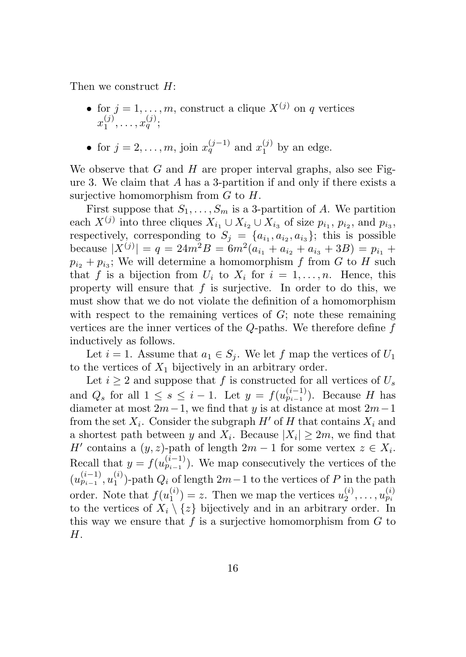Then we construct *H*:

- for  $j = 1, \ldots, m$ , construct a clique  $X^{(j)}$  on *q* vertices  $x_1^{(j)}, \ldots, x_q^{(j)};$
- for  $j = 2, ..., m$ , join  $x_q^{(j-1)}$  and  $x_1^{(j)}$  by an edge.

We observe that *G* and *H* are proper interval graphs, also see Figure 3. We claim that *A* has a 3-partition if and only if there exists a surjective homomorphism from *G* to *H*.

First suppose that  $S_1, \ldots, S_m$  is a 3-partition of *A*. We partition each  $X^{(j)}$  into three cliques  $X_{i_1} \cup X_{i_2} \cup X_{i_3}$  of size  $p_{i_1}, p_{i_2}$ , and  $p_{i_3}$ , respectively, corresponding to  $S_j = \{a_{i_1}, a_{i_2}, a_{i_3}\};$  this is possible because  $|X^{(j)}| = q = 24m^2B = 6m^2(a_{i_1} + a_{i_2} + a_{i_3} + 3B) = p_{i_1} + p_{i_2}$  $p_{i_2} + p_{i_3}$ ; We will determine a homomorphism *f* from *G* to *H* such that *f* is a bijection from  $U_i$  to  $X_i$  for  $i = 1, \ldots, n$ . Hence, this property will ensure that *f* is surjective. In order to do this, we must show that we do not violate the definition of a homomorphism with respect to the remaining vertices of *G*; note these remaining vertices are the inner vertices of the *Q*-paths. We therefore define *f* inductively as follows.

Let  $i = 1$ . Assume that  $a_1 \in S_i$ . We let  $f$  map the vertices of  $U_1$ to the vertices of *X*<sup>1</sup> bijectively in an arbitrary order.

Let  $i \geq 2$  and suppose that  $f$  is constructed for all vertices of  $U_s$ and  $Q_s$  for all  $1 \le s \le i - 1$ . Let  $y = f(u_{p_{i-1}}^{(i-1)})$ . Because *H* has diameter at most  $2m-1$ , we find that *y* is at distance at most  $2m-1$ from the set  $X_i$ . Consider the subgraph  $H'$  of  $H$  that contains  $X_i$  and a shortest path between *y* and  $X_i$ . Because  $|X_i| > 2m$ , we find that *H*<sup> $\prime$ </sup> contains a  $(y, z)$ -path of length  $2m - 1$  for some vertex  $z \in X_i$ . Recall that  $y = f(u_{p_{i-1}}^{(i-1)})$ . We map consecutively the vertices of the  $(u_{p_{i-1}}^{(i-1)}, u_1^{(i)})$ -path  $Q_i$  of length  $2m-1$  to the vertices of P in the path order. Note that  $f(u_1^{(i)}) = z$ . Then we map the vertices  $u_2^{(i)}, \ldots, u_{p_i}^{(i)}$ to the vertices of  $X_i \setminus \{z\}$  bijectively and in an arbitrary order. In this way we ensure that *f* is a surjective homomorphism from *G* to *H*.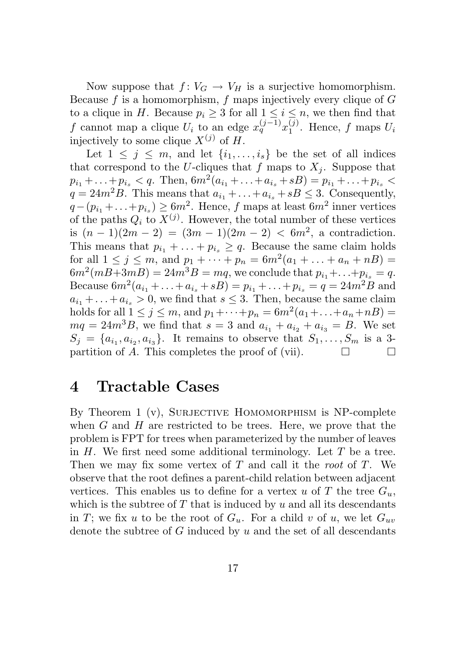Now suppose that  $f: V_G \to V_H$  is a surjective homomorphism. Because *f* is a homomorphism, *f* maps injectively every clique of *G* to a clique in *H*. Because  $p_i \geq 3$  for all  $1 \leq i \leq n$ , we then find that *f* cannot map a clique  $U_i$  to an edge  $x_q^{(j-1)}x_1^{(j)}$ . Hence, *f* maps  $U_i$ injectively to some clique  $X^{(j)}$  of  $H$ .

Let  $1 \leq j \leq m$ , and let  $\{i_1, \ldots, i_s\}$  be the set of all indices that correspond to the *U*-cliques that *f* maps to  $X_i$ . Suppose that  $p_{i_1} + \ldots + p_{i_s} < q$ . Then,  $6m^2(a_{i_1} + \ldots + a_{i_s} + sB) = p_{i_1} + \ldots + p_{i_s} <$  $q = 24m^2B$ . This means that  $a_{i_1} + \ldots + a_{i_n} + sB \leq 3$ . Consequently,  $q-(p_{i_1}+\ldots+p_{i_n})\geq 6m^2$ . Hence, *f* maps at least  $6m^2$  inner vertices of the paths  $Q_i$  to  $X^{(j)}$ . However, the total number of these vertices is  $(n-1)(2m-2) = (3m-1)(2m-2) < 6m^2$ , a contradiction. This means that  $p_{i_1} + \ldots + p_{i_s} \geq q$ . Because the same claim holds for all  $1 \leq j \leq m$ , and  $p_1 + \cdots + p_n = 6m^2(a_1 + \cdots + a_n + nB)$  $6m^2(mB+3mB) = 24m^3B = mq$ , we conclude that  $p_{i_1} + \ldots + p_{i_s} = q$ . Because  $6m^2(a_{i_1} + \ldots + a_{i_s} + sB) = p_{i_1} + \ldots + p_{i_s} = q = 24m^2B$  and  $a_{i_1} + \ldots + a_{i_s} > 0$ , we find that  $s \leq 3$ . Then, because the same claim holds for all  $1 \le j \le m$ , and  $p_1 + \cdots + p_n = 6m^2(a_1 + \cdots + a_n + nB)$  $mq = 24m^{3}B$ , we find that  $s = 3$  and  $a_{i_1} + a_{i_2} + a_{i_3} = B$ . We set  $S_j = \{a_{i_1}, a_{i_2}, a_{i_3}\}\.$  It remains to observe that  $S_1, \ldots, S_m$  is a 3-<br>partition of A. This completes the proof of (vii) partition of *A*. This completes the proof of (vii).

#### 4 Tractable Cases

By Theorem 1  $(v)$ , SURJECTIVE HOMOMORPHISM is NP-complete when *G* and *H* are restricted to be trees. Here, we prove that the problem is FPT for trees when parameterized by the number of leaves in *H*. We first need some additional terminology. Let *T* be a tree. Then we may fix some vertex of *T* and call it the *root* of *T*. We observe that the root defines a parent-child relation between adjacent vertices. This enables us to define for a vertex *u* of *T* the tree  $G_u$ , which is the subtree of  $T$  that is induced by  $u$  and all its descendants in *T*; we fix *u* to be the root of  $G_u$ . For a child *v* of *u*, we let  $G_{uv}$ denote the subtree of *G* induced by *u* and the set of all descendants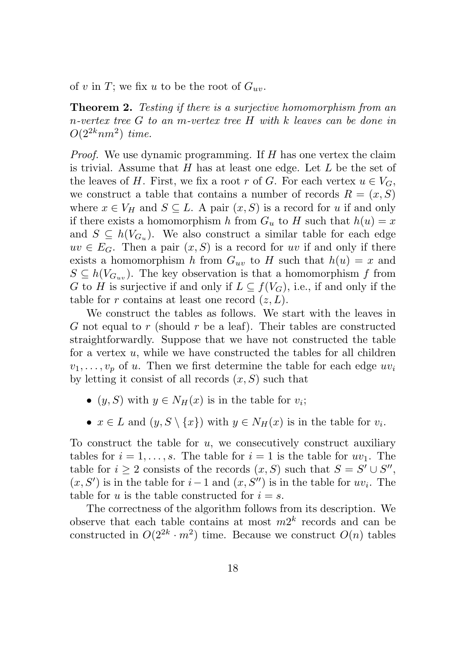of *v* in *T*; we fix *u* to be the root of  $G_{uv}$ .

Theorem 2. *Testing if there is a surjective homomorphism from an n-vertex tree G to an m-vertex tree H with k leaves can be done in*  $O(2^{2k}nm^2)$  *time.* 

*Proof.* We use dynamic programming. If *H* has one vertex the claim is trivial. Assume that *H* has at least one edge. Let *L* be the set of the leaves of H. First, we fix a root r of G. For each vertex  $u \in V_G$ . we construct a table that contains a number of records  $R = (x, S)$ where  $x \in V_H$  and  $S \subseteq L$ . A pair  $(x, S)$  is a record for *u* if and only if there exists a homomorphism *h* from  $G_u$  to *H* such that  $h(u) = x$ and  $S \subseteq h(V_{G_u})$ . We also construct a similar table for each edge  $uv \in E_G$ . Then a pair  $(x, S)$  is a record for *uv* if and only if there exists a homomorphism *h* from  $G_{uv}$  to *H* such that  $h(u) = x$  and  $S \subseteq h(V_{G_{uv}})$ . The key observation is that a homomorphism *f* from *G* to *H* is surjective if and only if  $L \subseteq f(V_G)$ , i.e., if and only if the table for *r* contains at least one record  $(z, L)$ .

We construct the tables as follows. We start with the leaves in *G* not equal to *r* (should *r* be a leaf). Their tables are constructed straightforwardly. Suppose that we have not constructed the table for a vertex *u*, while we have constructed the tables for all children  $v_1, \ldots, v_p$  of *u*. Then we first determine the table for each edge  $uv_i$ by letting it consist of all records  $(x, S)$  such that

- $(y, S)$  with  $y \in N_H(x)$  is in the table for  $v_i$ ;
- $x \in L$  and  $(y, S \setminus \{x\})$  with  $y \in N_H(x)$  is in the table for  $v_i$ .

To construct the table for *u*, we consecutively construct auxiliary tables for  $i = 1, \ldots, s$ . The table for  $i = 1$  is the table for  $uv_1$ . The table for  $i \geq 2$  consists of the records  $(x, S)$  such that  $S = S' \cup S''$ ,  $(x, S')$  is in the table for  $i-1$  and  $(x, S'')$  is in the table for  $uv_i$ . The table for *u* is the table constructed for  $i = s$ .

The correctness of the algorithm follows from its description. We observe that each table contains at most  $m2^k$  records and can be constructed in  $O(2^{2k} \cdot m^2)$  time. Because we construct  $O(n)$  tables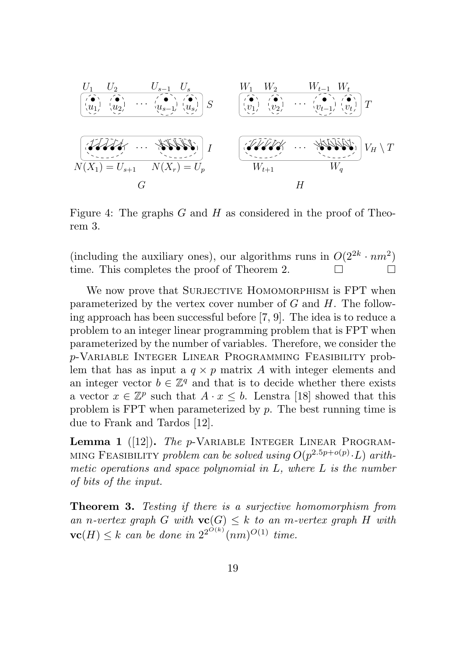

Figure 4: The graphs *G* and *H* as considered in the proof of Theorem 3.

(including the auxiliary ones), our algorithms runs in  $O(2^{2k} \cdot nm^2)$ <br>time. This completes the proof of Theorem 2. time. This completes the proof of Theorem 2.

We now prove that SURJECTIVE HOMOMORPHISM is FPT when parameterized by the vertex cover number of *G* and *H*. The following approach has been successful before [7, 9]. The idea is to reduce a problem to an integer linear programming problem that is FPT when parameterized by the number of variables. Therefore, we consider the *p*-Variable Integer Linear Programming Feasibility problem that has as input a  $q \times p$  matrix *A* with integer elements and an integer vector  $b \in \mathbb{Z}^q$  and that is to decide whether there exists a vector  $x \in \mathbb{Z}^p$  such that  $A \cdot x \leq b$ . Lenstra [18] showed that this problem is FPT when parameterized by *p*. The best running time is due to Frank and Tardos [12].

Lemma 1 ([12]). *The p*-VARIABLE INTEGER LINEAR PROGRAM-MING FEASIBILITY *problem can be solved using*  $O(p^{2.5p+o(p)} \cdot L)$  *arithmetic operations and space polynomial in L, where L is the number of bits of the input.*

Theorem 3. *Testing if there is a surjective homomorphism from an n-vertex graph G with*  $\mathbf{vc}(G) \leq k$  *to an m-vertex graph H with*  $\mathbf{v}(\mathbf{F}) \leq k$  *can be done in*  $2^{2^{O(k)}}(nm)^{O(1)}$  *time.*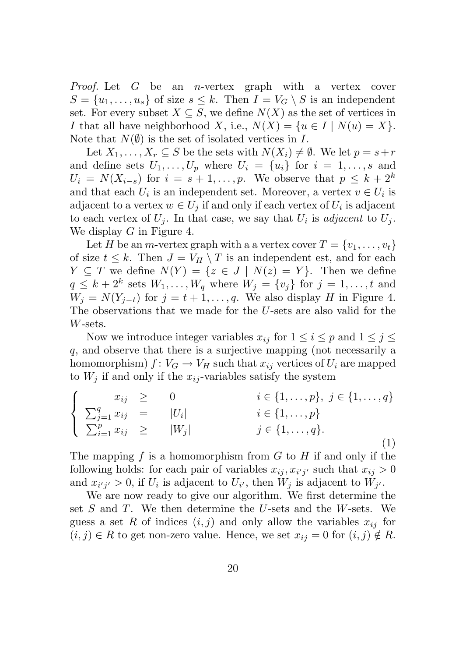*Proof.* Let *G* be an *n*-vertex graph with a vertex cover  $S = \{u_1, \ldots, u_s\}$  of size  $s \leq k$ . Then  $I = V_G \setminus S$  is an independent set. For every subset  $X \subseteq S$ , we define  $N(X)$  as the set of vertices in *I* that all have neighborhood *X*, i.e.,  $N(X) = \{u \in I \mid N(u) = X\}$ . Note that  $N(\emptyset)$  is the set of isolated vertices in *I*.

Let  $X_1, \ldots, X_r \subseteq S$  be the sets with  $N(X_i) \neq \emptyset$ . We let  $p = s + r$ and define sets  $U_1, \ldots, U_p$  where  $U_i = \{u_i\}$  for  $i = 1, \ldots, s$  and  $U_i = N(X_{i-s})$  for  $i = s+1,\ldots,p$ . We observe that  $p \leq k+2^k$ and that each  $U_i$  is an independent set. Moreover, a vertex  $v \in U_i$  is adjacent to a vertex  $w \in U_j$  if and only if each vertex of  $U_i$  is adjacent to each vertex of  $U_j$ . In that case, we say that  $U_i$  is *adjacent* to  $U_j$ . We display *G* in Figure 4.

Let *H* be an *m*-vertex graph with a a vertex cover  $T = \{v_1, \ldots, v_t\}$ of size  $t \leq k$ . Then  $J = V_H \setminus T$  is an independent est, and for each  $Y \subseteq T$  we define  $N(Y) = \{z \in J \mid N(z) = Y\}$ . Then we define  $q \leq k+2^k$  sets  $W_1, \ldots, W_q$  where  $W_j = \{v_j\}$  for  $j = 1, \ldots, t$  and  $W_i = N(Y_{i-t})$  for  $j = t+1, \ldots, q$ . We also display *H* in Figure 4. The observations that we made for the *U*-sets are also valid for the *W*-sets.

Now we introduce integer variables  $x_{ij}$  for  $1 \leq i \leq p$  and  $1 \leq j \leq j$ *q*, and observe that there is a surjective mapping (not necessarily a homomorphism)  $f: V_G \to V_H$  such that  $x_{ij}$  vertices of  $U_i$  are mapped to  $W_i$  if and only if the  $x_{ij}$ -variables satisfy the system

$$
\begin{cases}\n x_{ij} \geq 0 & i \in \{1, ..., p\}, \ j \in \{1, ..., q\} \\
\sum_{j=1}^{q} x_{ij} = |U_i| & i \in \{1, ..., p\} \\
\sum_{i=1}^{p} x_{ij} \geq |W_j| & j \in \{1, ..., q\}.\n\end{cases}
$$
\n(1)

The mapping *f* is a homomorphism from *G* to *H* if and only if the following holds: for each pair of variables  $x_{ij}, x_{i'j'}$  such that  $x_{ij} > 0$ and  $x_{i'j'} > 0$ , if  $U_i$  is adjacent to  $U_{i'}$ , then  $W_j$  is adjacent to  $W_{j'}$ .

We are now ready to give our algorithm. We first determine the set *S* and *T*. We then determine the *U*-sets and the *W*-sets. We guess a set R of indices  $(i, j)$  and only allow the variables  $x_{ij}$  for  $(i, j) \in R$  to get non-zero value. Hence, we set  $x_{ij} = 0$  for  $(i, j) \notin R$ .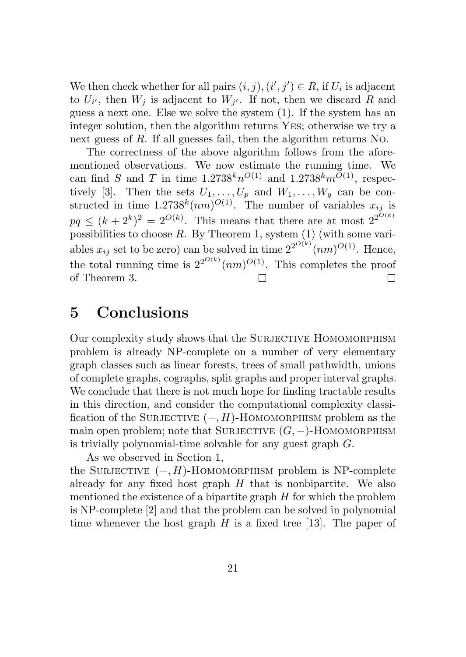We then check whether for all pairs  $(i, j), (i', j') \in R$ , if  $U_i$  is adjacent to  $U_{i'}$ , then  $W_i$  is adjacent to  $W_{i'}$ . If not, then we discard R and guess a next one. Else we solve the system (1). If the system has an integer solution, then the algorithm returns Yes; otherwise we try a next guess of *R*. If all guesses fail, then the algorithm returns No.

The correctness of the above algorithm follows from the aforementioned observations. We now estimate the running time. We can find *S* and *T* in time  $1.2738^{k}n^{O(1)}$  and  $1.2738^{k}m^{O(1)}$ , respectively [3]. Then the sets  $U_1, \ldots, U_p$  and  $W_1, \ldots, W_q$  can be constructed in time  $1.2738^{k}(nm)^{O(1)}$ . The number of variables  $x_{ij}$  is  $pq \leq (k+2^k)^2 = 2^{O(k)}$ . This means that there are at most  $2^{2^{O(k)}}$ . possibilities to choose *R*. By Theorem 1, system (1) (with some variables  $x_{ij}$  set to be zero) can be solved in time  $2^{2^{O(k)}}(nm)^{O(1)}$ . Hence, the total running time is  $2^{2^{O(k)}}(nm)^{O(1)}$ . This completes the proof of Theorem 3.  $\Box$  $\Box$ 

## 5 Conclusions

Our complexity study shows that the SURJECTIVE HOMOMORPHISM problem is already NP-complete on a number of very elementary graph classes such as linear forests, trees of small pathwidth, unions of complete graphs, cographs, split graphs and proper interval graphs. We conclude that there is not much hope for finding tractable results in this direction, and consider the computational complexity classification of the SURJECTIVE  $(-, H)$ -HOMOMORPHISM problem as the main open problem; note that SURJECTIVE  $(G, -)$ -HOMOMORPHISM is trivially polynomial-time solvable for any guest graph *G*.

As we observed in Section 1, the SURJECTIVE  $(-, H)$ -HOMOMORPHISM problem is NP-complete already for any fixed host graph *H* that is nonbipartite. We also mentioned the existence of a bipartite graph *H* for which the problem is NP-complete [2] and that the problem can be solved in polynomial time whenever the host graph  $H$  is a fixed tree [13]. The paper of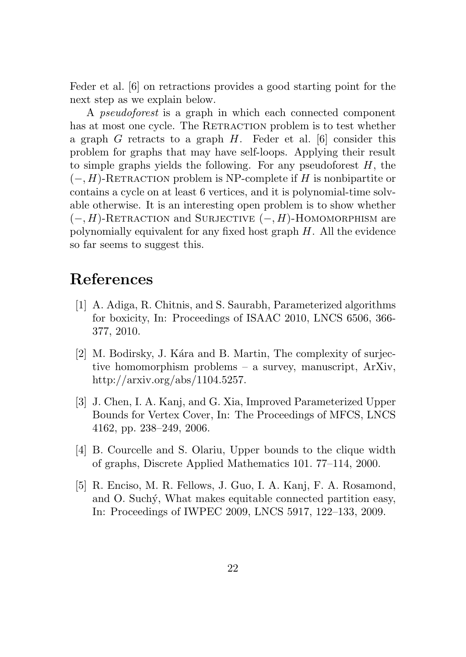Feder et al. [6] on retractions provides a good starting point for the next step as we explain below.

A *pseudoforest* is a graph in which each connected component has at most one cycle. The RETRACTION problem is to test whether a graph *G* retracts to a graph *H*. Feder et al. [6] consider this problem for graphs that may have self-loops. Applying their result to simple graphs yields the following. For any pseudoforest *H*, the  $(-, H)$ -RETRACTION problem is NP-complete if *H* is nonbipartite or contains a cycle on at least 6 vertices, and it is polynomial-time solvable otherwise. It is an interesting open problem is to show whether  $(-, H)$ -RETRACTION and SURJECTIVE  $(-, H)$ -HOMOMORPHISM are polynomially equivalent for any fixed host graph *H*. All the evidence so far seems to suggest this.

# References

- [1] A. Adiga, R. Chitnis, and S. Saurabh, Parameterized algorithms for boxicity, In: Proceedings of ISAAC 2010, LNCS 6506, 366- 377, 2010.
- [2] M. Bodirsky, J. Kára and B. Martin, The complexity of surjective homomorphism problems – a survey, manuscript, ArXiv, http://arxiv.org/abs/1104.5257.
- [3] J. Chen, I. A. Kanj, and G. Xia, Improved Parameterized Upper Bounds for Vertex Cover, In: The Proceedings of MFCS, LNCS 4162, pp. 238–249, 2006.
- [4] B. Courcelle and S. Olariu, Upper bounds to the clique width of graphs, Discrete Applied Mathematics 101. 77–114, 2000.
- [5] R. Enciso, M. R. Fellows, J. Guo, I. A. Kanj, F. A. Rosamond, and O. Suchý, What makes equitable connected partition easy, In: Proceedings of IWPEC 2009, LNCS 5917, 122–133, 2009.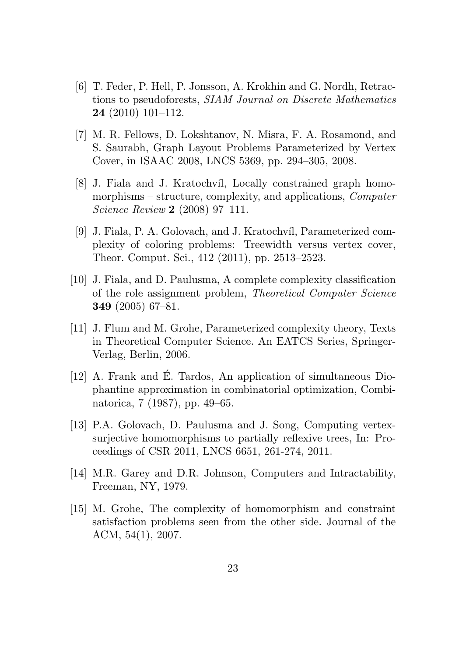- [6] T. Feder, P. Hell, P. Jonsson, A. Krokhin and G. Nordh, Retractions to pseudoforests, *SIAM Journal on Discrete Mathematics* 24 (2010) 101–112.
- [7] M. R. Fellows, D. Lokshtanov, N. Misra, F. A. Rosamond, and S. Saurabh, Graph Layout Problems Parameterized by Vertex Cover, in ISAAC 2008, LNCS 5369, pp. 294–305, 2008.
- [8] J. Fiala and J. Kratochvíl, Locally constrained graph homomorphisms – structure, complexity, and applications, *Computer Science Review* 2 (2008) 97–111.
- [9] J. Fiala, P. A. Golovach, and J. Kratochvíl, Parameterized complexity of coloring problems: Treewidth versus vertex cover, Theor. Comput. Sci., 412 (2011), pp. 2513–2523.
- [10] J. Fiala, and D. Paulusma, A complete complexity classification of the role assignment problem, *Theoretical Computer Science* 349 (2005) 67–81.
- [11] J. Flum and M. Grohe, Parameterized complexity theory, Texts in Theoretical Computer Science. An EATCS Series, Springer-Verlag, Berlin, 2006.
- [12] A. Frank and É. Tardos, An application of simultaneous Diophantine approximation in combinatorial optimization, Combinatorica, 7 (1987), pp. 49–65.
- [13] P.A. Golovach, D. Paulusma and J. Song, Computing vertexsurjective homomorphisms to partially reflexive trees, In: Proceedings of CSR 2011, LNCS 6651, 261-274, 2011.
- [14] M.R. Garey and D.R. Johnson, Computers and Intractability, Freeman, NY, 1979.
- [15] M. Grohe, The complexity of homomorphism and constraint satisfaction problems seen from the other side. Journal of the ACM, 54(1), 2007.